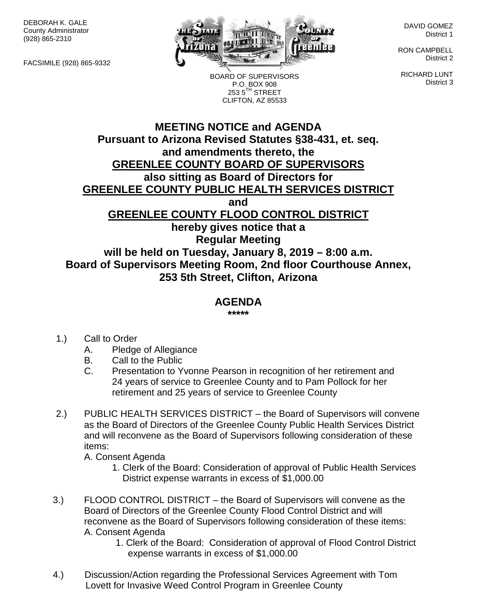DEBORAH K. GALE County Administrator (928) 865-2310

FACSIMILE (928) 865-9332



DAVID GOMEZ District 1

RON CAMPBELL District 2

RICHARD LUNT District 3

BOARD OF SUPERVISORS P.O. BOX 908  $253.5$ <sup>TH</sup> STREET CLIFTON, AZ 85533

## **MEETING NOTICE and AGENDA Pursuant to Arizona Revised Statutes §38-431, et. seq. and amendments thereto, the GREENLEE COUNTY BOARD OF SUPERVISORS also sitting as Board of Directors for GREENLEE COUNTY PUBLIC HEALTH SERVICES DISTRICT and GREENLEE COUNTY FLOOD CONTROL DISTRICT hereby gives notice that a Regular Meeting will be held on Tuesday, January 8, 2019 – 8:00 a.m.**

**Board of Supervisors Meeting Room, 2nd floor Courthouse Annex, 253 5th Street, Clifton, Arizona**

## **AGENDA**

**\*\*\*\*\***

- 1.) Call to Order
	- A. Pledge of Allegiance
	- B. Call to the Public
	- C. Presentation to Yvonne Pearson in recognition of her retirement and 24 years of service to Greenlee County and to Pam Pollock for her retirement and 25 years of service to Greenlee County
- 2.) PUBLIC HEALTH SERVICES DISTRICT the Board of Supervisors will convene as the Board of Directors of the Greenlee County Public Health Services District and will reconvene as the Board of Supervisors following consideration of these items:

A. Consent Agenda

- 1. Clerk of the Board: Consideration of approval of Public Health Services District expense warrants in excess of \$1,000.00
- 3.) FLOOD CONTROL DISTRICT the Board of Supervisors will convene as the Board of Directors of the Greenlee County Flood Control District and will reconvene as the Board of Supervisors following consideration of these items: A. Consent Agenda
	- 1. Clerk of the Board: Consideration of approval of Flood Control District expense warrants in excess of \$1,000.00
- 4.) Discussion/Action regarding the Professional Services Agreement with Tom Lovett for Invasive Weed Control Program in Greenlee County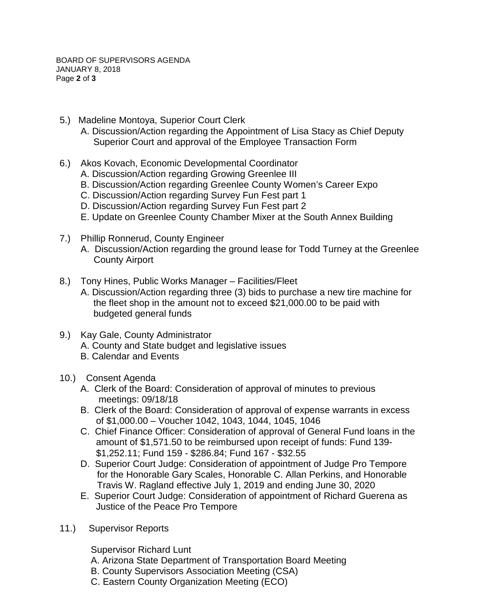- 5.) Madeline Montoya, Superior Court Clerk
	- A. Discussion/Action regarding the Appointment of Lisa Stacy as Chief Deputy Superior Court and approval of the Employee Transaction Form
- 6.) Akos Kovach, Economic Developmental Coordinator
	- A. Discussion/Action regarding Growing Greenlee III
	- B. Discussion/Action regarding Greenlee County Women's Career Expo
	- C. Discussion/Action regarding Survey Fun Fest part 1
	- D. Discussion/Action regarding Survey Fun Fest part 2
	- E. Update on Greenlee County Chamber Mixer at the South Annex Building
- 7.) Phillip Ronnerud, County Engineer
	- A. Discussion/Action regarding the ground lease for Todd Turney at the Greenlee County Airport
- 8.) Tony Hines, Public Works Manager Facilities/Fleet A. Discussion/Action regarding three (3) bids to purchase a new tire machine for the fleet shop in the amount not to exceed \$21,000.00 to be paid with budgeted general funds
- 9.) Kay Gale, County Administrator A. County and State budget and legislative issues B. Calendar and Events
- 10.) Consent Agenda
	- A. Clerk of the Board: Consideration of approval of minutes to previous meetings: 09/18/18
	- B. Clerk of the Board: Consideration of approval of expense warrants in excess of \$1,000.00 – Voucher 1042, 1043, 1044, 1045, 1046
	- C. Chief Finance Officer: Consideration of approval of General Fund loans in the amount of \$1,571.50 to be reimbursed upon receipt of funds: Fund 139- \$1,252.11; Fund 159 - \$286.84; Fund 167 - \$32.55
	- D. Superior Court Judge: Consideration of appointment of Judge Pro Tempore for the Honorable Gary Scales, Honorable C. Allan Perkins, and Honorable Travis W. Ragland effective July 1, 2019 and ending June 30, 2020
	- E. Superior Court Judge: Consideration of appointment of Richard Guerena as Justice of the Peace Pro Tempore
- 11.) Supervisor Reports

Supervisor Richard Lunt

- A. Arizona State Department of Transportation Board Meeting
- B. County Supervisors Association Meeting (CSA)
- C. Eastern County Organization Meeting (ECO)